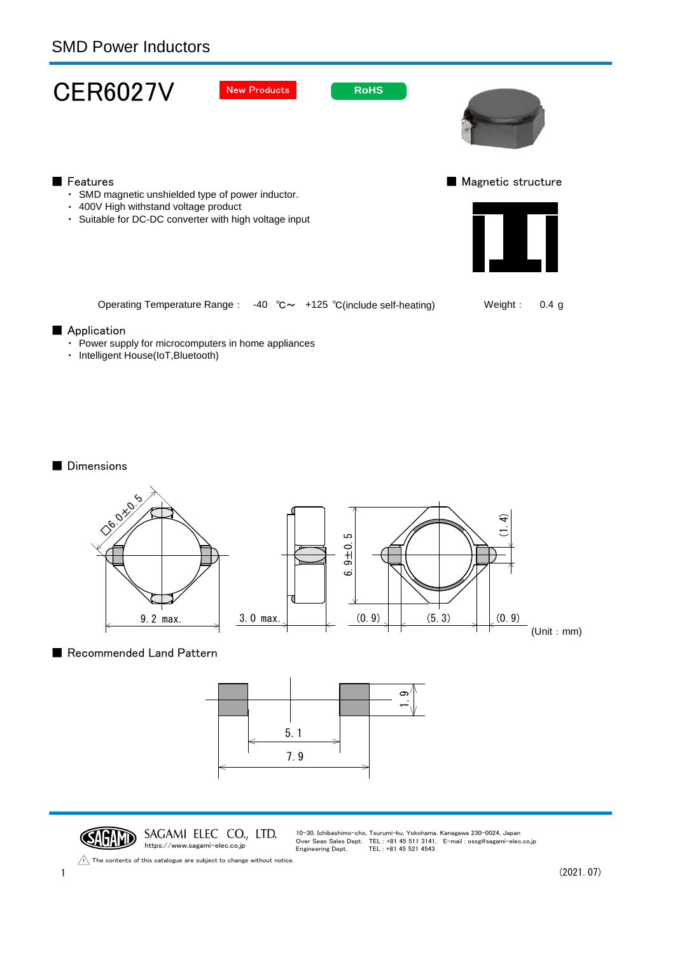## SMD Power Inductors



・ Intelligent House(IoT,Bluetooth)

■ Dimensions





CAGAND SAGAMI ELEC CO., LTD. https://www.sagami-elec.co.jp

10-30, Ichibashimo-cho, Tsurumi-ku, Yokohama, Kanagawa 230-0024, Japan Over Seas Sales Dept. TEL : +81 45 511 3141, E-mail : ossg@sagami-elec.co.jp Engineering Dept. TEL : +81 45 521 4543

The contents of this catalogue are subject to change without notice.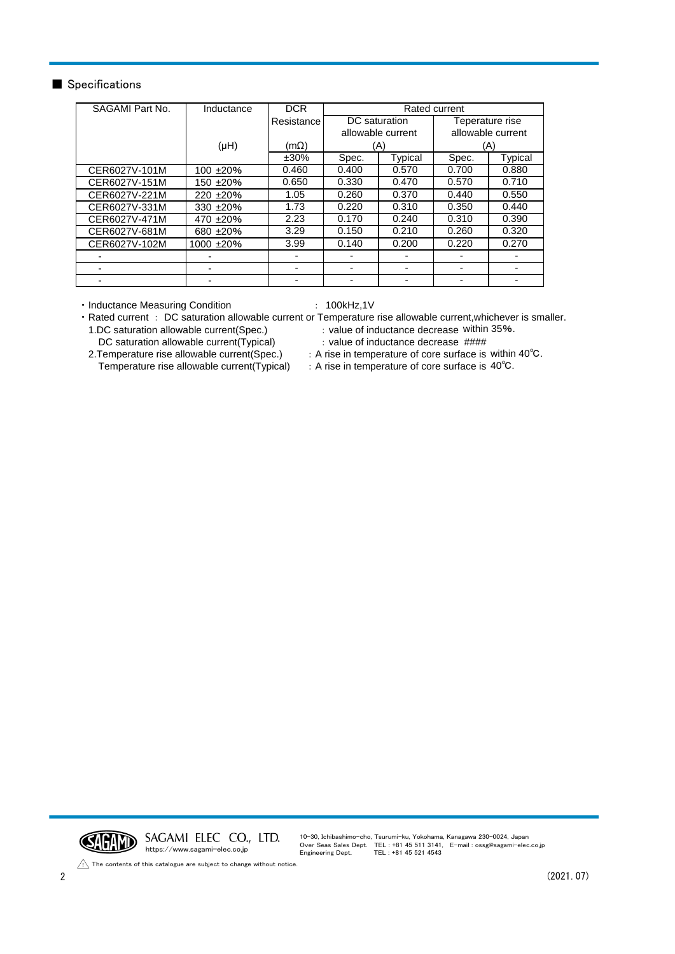## ■ Specifications

| SAGAMI Part No. | Inductance      | <b>DCR</b> | Rated current     |         |                   |         |
|-----------------|-----------------|------------|-------------------|---------|-------------------|---------|
|                 |                 | Resistance | DC saturation     |         | Teperature rise   |         |
|                 |                 |            | allowable current |         | allowable current |         |
|                 | (HH)            | (mΩ)       | (A)               |         | (A)               |         |
|                 |                 | $±30\%$    | Spec.             | Typical | Spec.             | Typical |
| CER6027V-101M   | $100 + 20%$     | 0.460      | 0.400             | 0.570   | 0.700             | 0.880   |
| CER6027V-151M   | 150 ±20%        | 0.650      | 0.330             | 0.470   | 0.570             | 0.710   |
| CER6027V-221M   | $220 + 20%$     | 1.05       | 0.260             | 0.370   | 0.440             | 0.550   |
| CER6027V-331M   | 330 $\pm 20\%$  | 1.73       | 0.220             | 0.310   | 0.350             | 0.440   |
| CER6027V-471M   | 470 $±20%$      | 2.23       | 0.170             | 0.240   | 0.310             | 0.390   |
| CER6027V-681M   | 680 $±20%$      | 3.29       | 0.150             | 0.210   | 0.260             | 0.320   |
| CER6027V-102M   | $1000 \pm 20\%$ | 3.99       | 0.140             | 0.200   | 0.220             | 0.270   |
|                 |                 |            |                   |         |                   |         |
|                 | ۰               | -          |                   | -       |                   |         |
|                 |                 |            |                   |         |                   |         |

• Inductance Measuring Condition : 100kHz,1V

・Rated current : DC saturation allowable current or Temperature rise allowable current,whichever is smaller. 1.DC saturation allowable current(Spec.) : value of inductance decrease within 35%.

DC saturation allowable current(Typical) : value of inductance decrease ####

2.Temperature rise allowable current(Spec.) Temperature rise allowable current(Typical)

- : A rise in temperature of core surface is within 40℃.
- : A rise in temperature of core surface is 40°C.

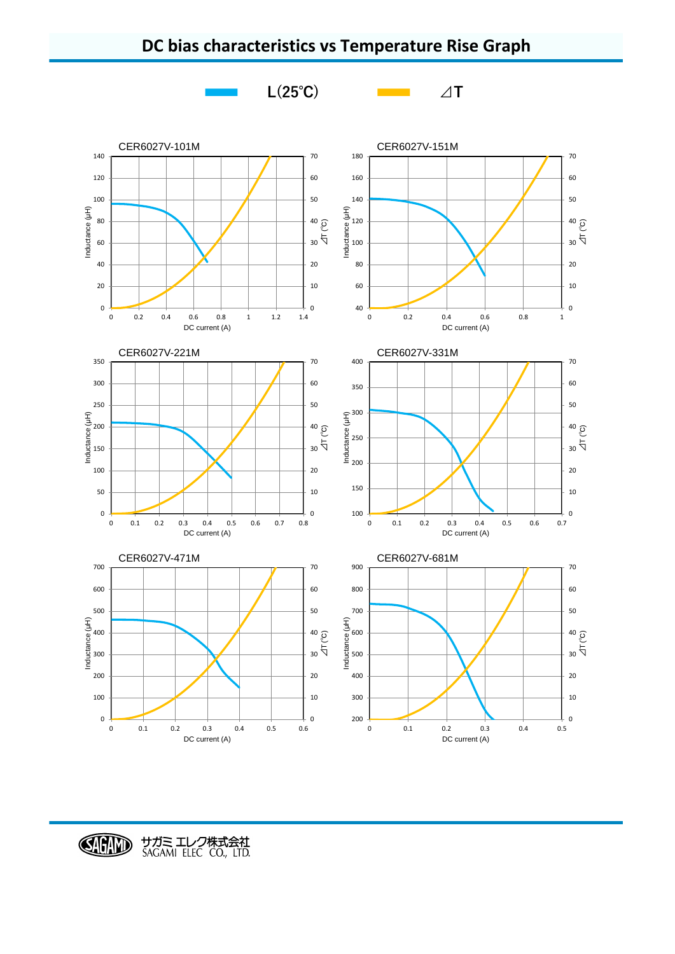

## **DC bias characteristics vs Temperature Rise Graph**

CHID サガミ エレク株式会社<br>SAGAMI ELEC CO., LTD.